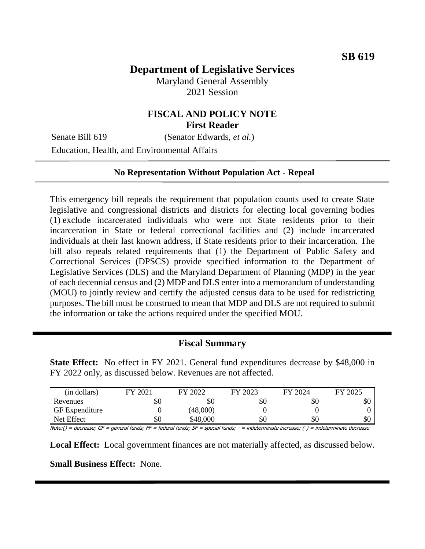# **Department of Legislative Services**

Maryland General Assembly 2021 Session

### **FISCAL AND POLICY NOTE First Reader**

Senate Bill 619 (Senator Edwards, *et al.*)

Education, Health, and Environmental Affairs

#### **No Representation Without Population Act - Repeal**

This emergency bill repeals the requirement that population counts used to create State legislative and congressional districts and districts for electing local governing bodies (1) exclude incarcerated individuals who were not State residents prior to their incarceration in State or federal correctional facilities and (2) include incarcerated individuals at their last known address, if State residents prior to their incarceration. The bill also repeals related requirements that (1) the Department of Public Safety and Correctional Services (DPSCS) provide specified information to the Department of Legislative Services (DLS) and the Maryland Department of Planning (MDP) in the year of each decennial census and (2) MDP and DLS enter into a memorandum of understanding (MOU) to jointly review and certify the adjusted census data to be used for redistricting purposes. The bill must be construed to mean that MDP and DLS are not required to submit the information or take the actions required under the specified MOU.

### **Fiscal Summary**

**State Effect:** No effect in FY 2021. General fund expenditures decrease by \$48,000 in FY 2022 only, as discussed below. Revenues are not affected.

| (in dollars)          | 202<br>ГV | 2022<br>ГV | 2023<br>FV | 2024<br>ЕV | 2025<br>ГV |
|-----------------------|-----------|------------|------------|------------|------------|
| Revenues              | \$0       | УU         | эU         | \$0        | \$0        |
| <b>GF</b> Expenditure |           | (48,000)   |            |            |            |
| Net Effect            | \$0       | \$48,000   | \$0        | \$0        | \$0        |

Note:() = decrease; GF = general funds; FF = federal funds; SF = special funds; - = indeterminate increase; (-) = indeterminate decrease

**Local Effect:** Local government finances are not materially affected, as discussed below.

**Small Business Effect:** None.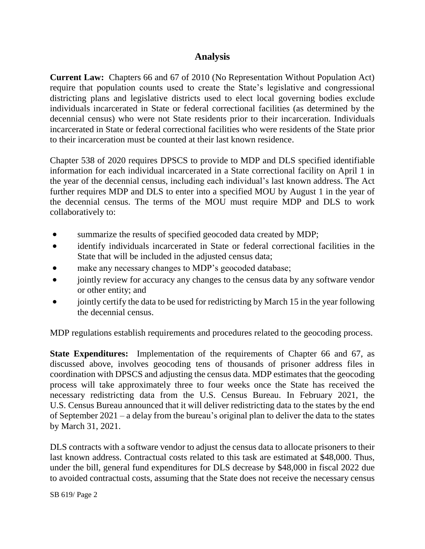### **Analysis**

**Current Law:** Chapters 66 and 67 of 2010 (No Representation Without Population Act) require that population counts used to create the State's legislative and congressional districting plans and legislative districts used to elect local governing bodies exclude individuals incarcerated in State or federal correctional facilities (as determined by the decennial census) who were not State residents prior to their incarceration. Individuals incarcerated in State or federal correctional facilities who were residents of the State prior to their incarceration must be counted at their last known residence.

Chapter 538 of 2020 requires DPSCS to provide to MDP and DLS specified identifiable information for each individual incarcerated in a State correctional facility on April 1 in the year of the decennial census, including each individual's last known address. The Act further requires MDP and DLS to enter into a specified MOU by August 1 in the year of the decennial census. The terms of the MOU must require MDP and DLS to work collaboratively to:

- summarize the results of specified geocoded data created by MDP;
- identify individuals incarcerated in State or federal correctional facilities in the State that will be included in the adjusted census data;
- make any necessary changes to MDP's geocoded database;
- jointly review for accuracy any changes to the census data by any software vendor or other entity; and
- jointly certify the data to be used for redistricting by March 15 in the year following the decennial census.

MDP regulations establish requirements and procedures related to the geocoding process.

**State Expenditures:** Implementation of the requirements of Chapter 66 and 67, as discussed above, involves geocoding tens of thousands of prisoner address files in coordination with DPSCS and adjusting the census data. MDP estimates that the geocoding process will take approximately three to four weeks once the State has received the necessary redistricting data from the U.S. Census Bureau. In February 2021, the U.S. Census Bureau announced that it will deliver redistricting data to the states by the end of September 2021 – a delay from the bureau's original plan to deliver the data to the states by March 31, 2021.

DLS contracts with a software vendor to adjust the census data to allocate prisoners to their last known address. Contractual costs related to this task are estimated at \$48,000. Thus, under the bill, general fund expenditures for DLS decrease by \$48,000 in fiscal 2022 due to avoided contractual costs, assuming that the State does not receive the necessary census